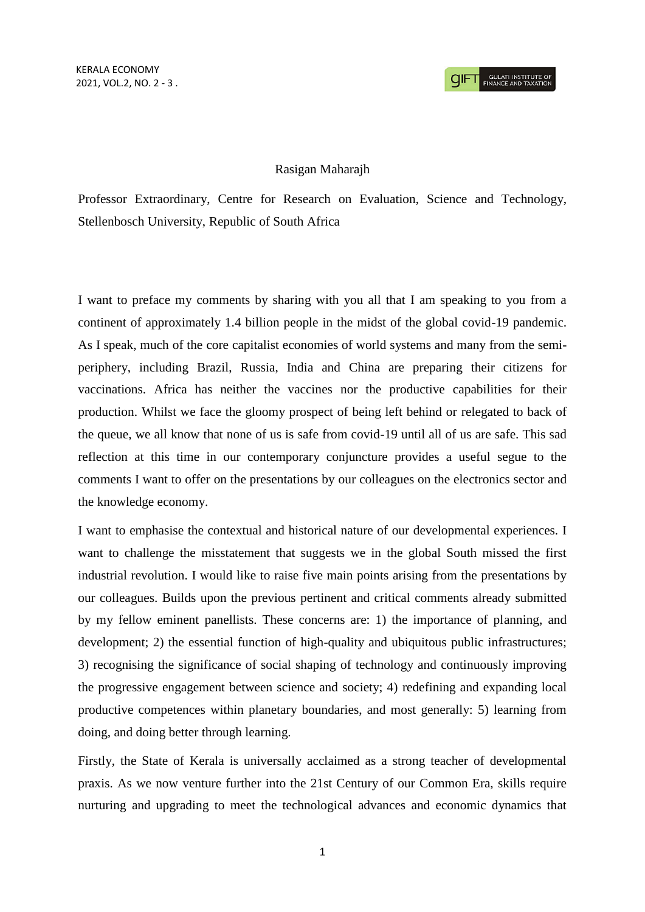## Rasigan Maharajh

Professor Extraordinary, Centre for Research on Evaluation, Science and Technology, Stellenbosch University, Republic of South Africa

I want to preface my comments by sharing with you all that I am speaking to you from a continent of approximately 1.4 billion people in the midst of the global covid-19 pandemic. As I speak, much of the core capitalist economies of world systems and many from the semiperiphery, including Brazil, Russia, India and China are preparing their citizens for vaccinations. Africa has neither the vaccines nor the productive capabilities for their production. Whilst we face the gloomy prospect of being left behind or relegated to back of the queue, we all know that none of us is safe from covid-19 until all of us are safe. This sad reflection at this time in our contemporary conjuncture provides a useful segue to the comments I want to offer on the presentations by our colleagues on the electronics sector and the knowledge economy.

I want to emphasise the contextual and historical nature of our developmental experiences. I want to challenge the misstatement that suggests we in the global South missed the first industrial revolution. I would like to raise five main points arising from the presentations by our colleagues. Builds upon the previous pertinent and critical comments already submitted by my fellow eminent panellists. These concerns are: 1) the importance of planning, and development; 2) the essential function of high-quality and ubiquitous public infrastructures; 3) recognising the significance of social shaping of technology and continuously improving the progressive engagement between science and society; 4) redefining and expanding local productive competences within planetary boundaries, and most generally: 5) learning from doing, and doing better through learning.

Firstly, the State of Kerala is universally acclaimed as a strong teacher of developmental praxis. As we now venture further into the 21st Century of our Common Era, skills require nurturing and upgrading to meet the technological advances and economic dynamics that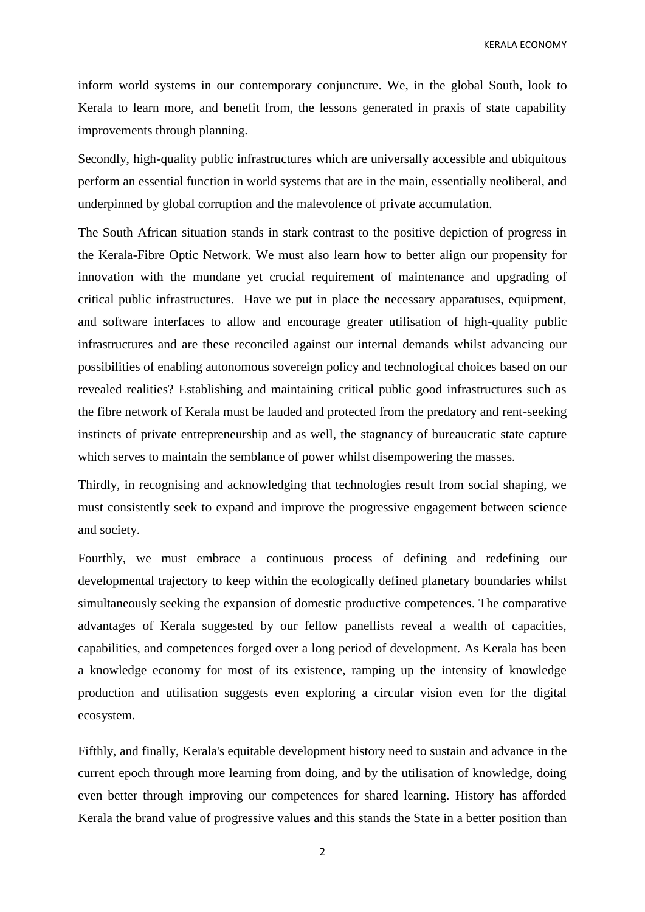KERALA ECONOMY

inform world systems in our contemporary conjuncture. We, in the global South, look to Kerala to learn more, and benefit from, the lessons generated in praxis of state capability improvements through planning.

Secondly, high-quality public infrastructures which are universally accessible and ubiquitous perform an essential function in world systems that are in the main, essentially neoliberal, and underpinned by global corruption and the malevolence of private accumulation.

The South African situation stands in stark contrast to the positive depiction of progress in the Kerala-Fibre Optic Network. We must also learn how to better align our propensity for innovation with the mundane yet crucial requirement of maintenance and upgrading of critical public infrastructures. Have we put in place the necessary apparatuses, equipment, and software interfaces to allow and encourage greater utilisation of high-quality public infrastructures and are these reconciled against our internal demands whilst advancing our possibilities of enabling autonomous sovereign policy and technological choices based on our revealed realities? Establishing and maintaining critical public good infrastructures such as the fibre network of Kerala must be lauded and protected from the predatory and rent-seeking instincts of private entrepreneurship and as well, the stagnancy of bureaucratic state capture which serves to maintain the semblance of power whilst disempowering the masses.

Thirdly, in recognising and acknowledging that technologies result from social shaping, we must consistently seek to expand and improve the progressive engagement between science and society.

Fourthly, we must embrace a continuous process of defining and redefining our developmental trajectory to keep within the ecologically defined planetary boundaries whilst simultaneously seeking the expansion of domestic productive competences. The comparative advantages of Kerala suggested by our fellow panellists reveal a wealth of capacities, capabilities, and competences forged over a long period of development. As Kerala has been a knowledge economy for most of its existence, ramping up the intensity of knowledge production and utilisation suggests even exploring a circular vision even for the digital ecosystem.

Fifthly, and finally, Kerala's equitable development history need to sustain and advance in the current epoch through more learning from doing, and by the utilisation of knowledge, doing even better through improving our competences for shared learning. History has afforded Kerala the brand value of progressive values and this stands the State in a better position than

2